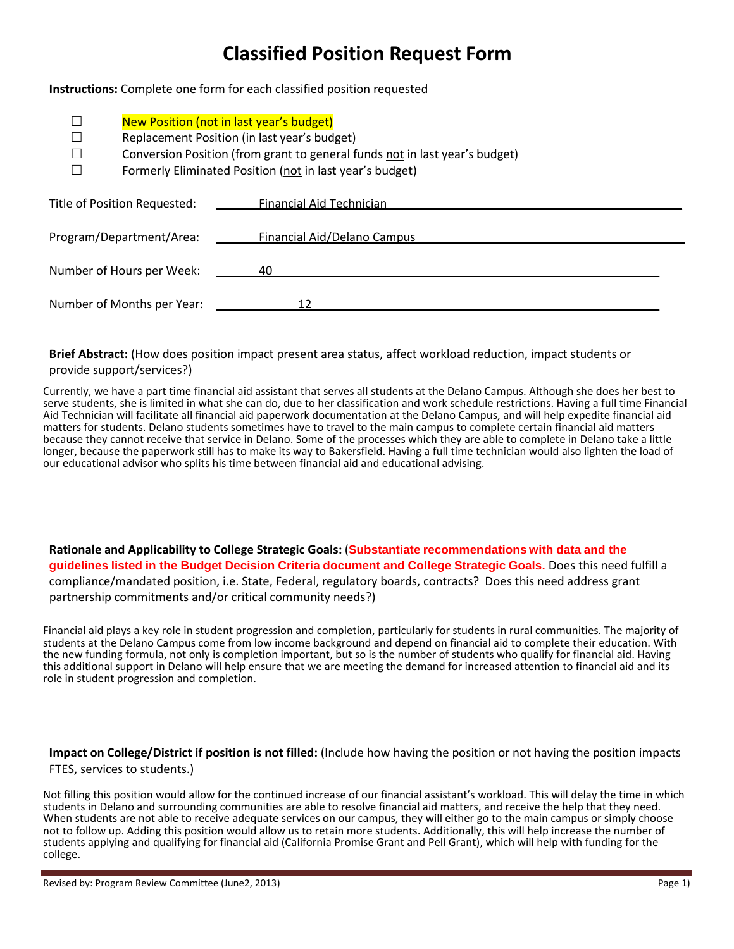## **Classified Position Request Form**

**Instructions:** Complete one form for each classified position requested

| New Position (not in last year's budget)<br>Replacement Position (in last year's budget)<br>Conversion Position (from grant to general funds not in last year's budget)<br>Formerly Eliminated Position (not in last year's budget) |                             |  |
|-------------------------------------------------------------------------------------------------------------------------------------------------------------------------------------------------------------------------------------|-----------------------------|--|
| Title of Position Requested:                                                                                                                                                                                                        | Financial Aid Technician    |  |
| Program/Department/Area:                                                                                                                                                                                                            | Financial Aid/Delano Campus |  |
| Number of Hours per Week:                                                                                                                                                                                                           | 40                          |  |
| Number of Months per Year:                                                                                                                                                                                                          | 12                          |  |

**Brief Abstract:** (How does position impact present area status, affect workload reduction, impact students or provide support/services?)

Currently, we have a part time financial aid assistant that serves all students at the Delano Campus. Although she does her best to serve students, she is limited in what she can do, due to her classification and work schedule restrictions. Having a full time Financial Aid Technician will facilitate all financial aid paperwork documentation at the Delano Campus, and will help expedite financial aid matters for students. Delano students sometimes have to travel to the main campus to complete certain financial aid matters because they cannot receive that service in Delano. Some of the processes which they are able to complete in Delano take a little longer, because the paperwork still has to make its way to Bakersfield. Having a full time technician would also lighten the load of our educational advisor who splits his time between financial aid and educational advising.

**Rationale and Applicability to College Strategic Goals:** (**Substantiate recommendations with data and the guidelines listed in the Budget Decision Criteria document and College Strategic Goals.** Does this need fulfill a compliance/mandated position, i.e. State, Federal, regulatory boards, contracts? Does this need address grant partnership commitments and/or critical community needs?)

Financial aid plays a key role in student progression and completion, particularly for students in rural communities. The majority of students at the Delano Campus come from low income background and depend on financial aid to complete their education. With the new funding formula, not only is completion important, but so is the number of students who qualify for financial aid. Having this additional support in Delano will help ensure that we are meeting the demand for increased attention to financial aid and its role in student progression and completion.

**Impact on College/District if position is not filled:** (Include how having the position or not having the position impacts FTES, services to students.)

Not filling this position would allow for the continued increase of our financial assistant's workload. This will delay the time in which students in Delano and surrounding communities are able to resolve financial aid mat When students are not able to receive adequate services on our campus, they will either go to the main campus or simply choose not to follow up. Adding this position would allow us to retain more students. Additionally, this will help increase the number of students applying and qualifying for financial aid (California Promise Grant and Pell Grant), which will help with funding for the college.